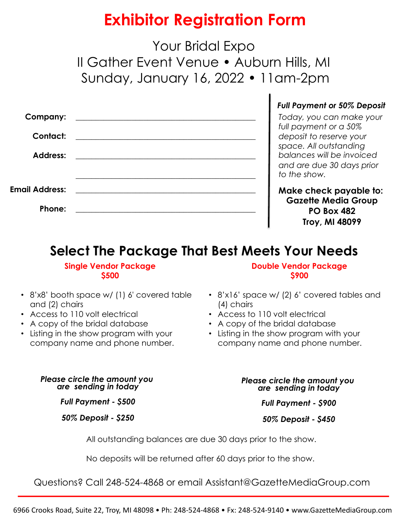# **Exhibitor Registration Form**

Your Bridal Expo II Gather Event Venue • Auburn Hills, MI Sunday, January 16, 2022 • 11am-2pm

| <b>Company:</b>       |                                                      | $\frac{1}{f}$                                   |
|-----------------------|------------------------------------------------------|-------------------------------------------------|
| <b>Contact:</b>       |                                                      |                                                 |
| <b>Address:</b>       | <u> 1989 - Andrea Brand, Amerikaansk politiker (</u> | $\begin{array}{c} c \\ s \\ t \\ c \end{array}$ |
| <b>Email Address:</b> |                                                      |                                                 |
| Phone:                |                                                      |                                                 |

#### *Full Payment or 50% Deposit*

*Today, you can make your full payment or a 50% deposit to reserve your space. All outstanding balances will be invoiced and are due 30 days prior to the show.* 

**Make check payable to: Gazette Media Group PO Box 482 Troy, MI 48099**

## **Select The Package That Best Meets Your Needs**

#### **Single Vendor Package \$500**

• 8'x8' booth space w/ (1) 6' covered table and (2) chairs

- Access to 110 volt electrical
- A copy of the bridal database
- Listing in the show program with your company name and phone number.

#### **Double Vendor Package \$900**

- 8'x16' space w/ (2) 6' covered tables and (4) chairs
- Access to 110 volt electrical

ı

- A copy of the bridal database
- Listing in the show program with your company name and phone number.

*Please circle the amount you are sending in today*

*Full Payment - \$500*

*50% Deposit - \$250*

*Please circle the amount you are sending in today*

*Full Payment - \$900*

*50% Deposit - \$450*

All outstanding balances are due 30 days prior to the show.

No deposits will be returned after 60 days prior to the show.

Questions? Call 248-524-4868 or email Assistant@GazetteMediaGroup.com